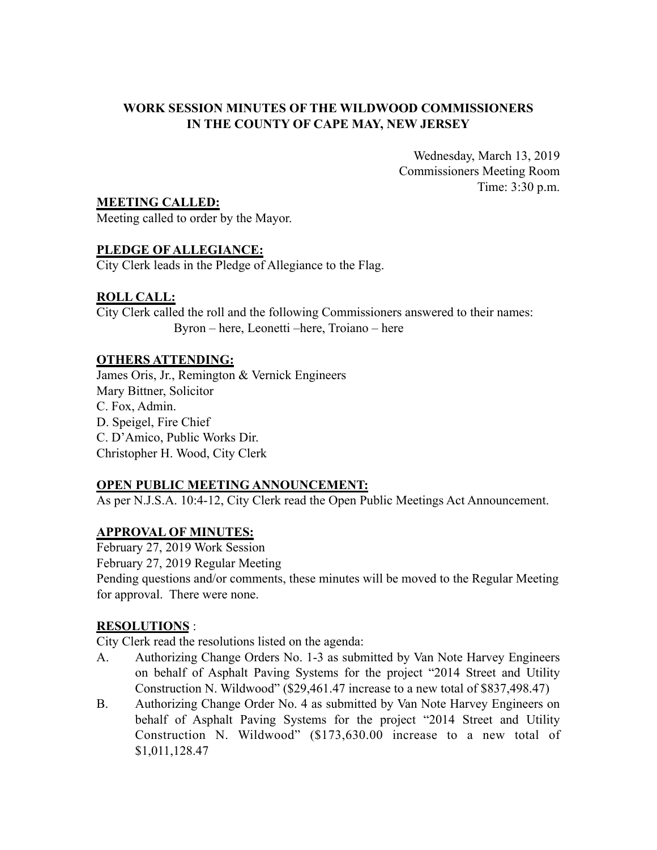# **WORK SESSION MINUTES OF THE WILDWOOD COMMISSIONERS IN THE COUNTY OF CAPE MAY, NEW JERSEY**

Wednesday, March 13, 2019 Commissioners Meeting Room Time: 3:30 p.m.

**MEETING CALLED:**

Meeting called to order by the Mayor.

# **PLEDGE OF ALLEGIANCE:**

City Clerk leads in the Pledge of Allegiance to the Flag.

# **ROLL CALL:**

City Clerk called the roll and the following Commissioners answered to their names: Byron – here, Leonetti –here, Troiano – here

# **OTHERS ATTENDING:**

James Oris, Jr., Remington & Vernick Engineers Mary Bittner, Solicitor C. Fox, Admin. D. Speigel, Fire Chief C. D'Amico, Public Works Dir. Christopher H. Wood, City Clerk

# **OPEN PUBLIC MEETING ANNOUNCEMENT:**

As per N.J.S.A. 10:4-12, City Clerk read the Open Public Meetings Act Announcement.

# **APPROVAL OF MINUTES:**

February 27, 2019 Work Session February 27, 2019 Regular Meeting Pending questions and/or comments, these minutes will be moved to the Regular Meeting for approval. There were none.

# **RESOLUTIONS** :

City Clerk read the resolutions listed on the agenda:

- A. Authorizing Change Orders No. 1-3 as submitted by Van Note Harvey Engineers on behalf of Asphalt Paving Systems for the project "2014 Street and Utility Construction N. Wildwood" (\$29,461.47 increase to a new total of \$837,498.47)
- B. Authorizing Change Order No. 4 as submitted by Van Note Harvey Engineers on behalf of Asphalt Paving Systems for the project "2014 Street and Utility Construction N. Wildwood" (\$173,630.00 increase to a new total of \$1,011,128.47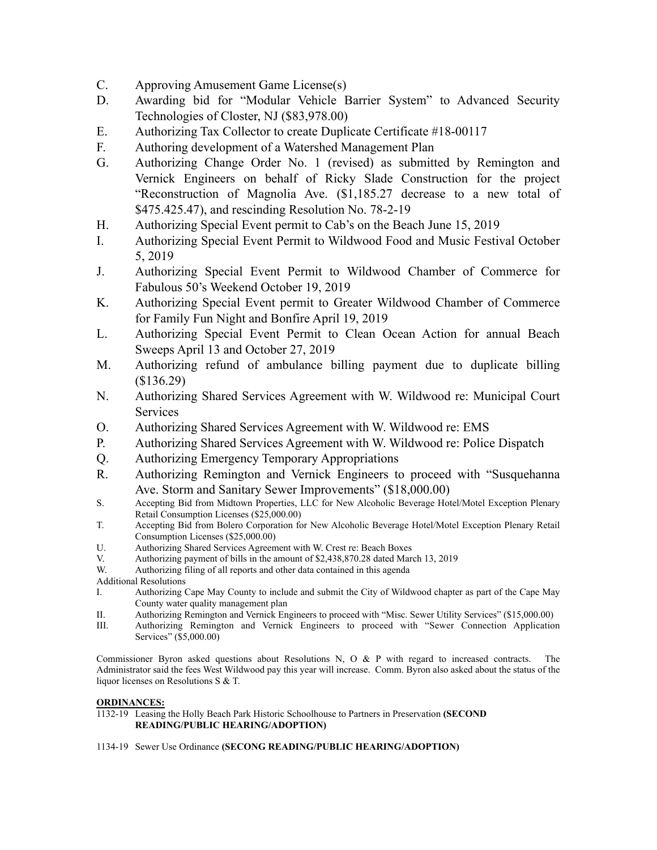- C. Approving Amusement Game License(s)
- D. Awarding bid for "Modular Vehicle Barrier System" to Advanced Security Technologies of Closter, NJ (\$83,978.00)
- E. Authorizing Tax Collector to create Duplicate Certificate #18-00117
- F. Authoring development of a Watershed Management Plan
- G. Authorizing Change Order No. 1 (revised) as submitted by Remington and Vernick Engineers on behalf of Ricky Slade Construction for the project "Reconstruction of Magnolia Ave. (\$1,185.27 decrease to a new total of \$475.425.47), and rescinding Resolution No. 78-2-19
- H. Authorizing Special Event permit to Cab's on the Beach June 15, 2019
- I. Authorizing Special Event Permit to Wildwood Food and Music Festival October 5, 2019
- J. Authorizing Special Event Permit to Wildwood Chamber of Commerce for Fabulous 50's Weekend October 19, 2019
- K. Authorizing Special Event permit to Greater Wildwood Chamber of Commerce for Family Fun Night and Bonfire April 19, 2019
- L. Authorizing Special Event Permit to Clean Ocean Action for annual Beach Sweeps April 13 and October 27, 2019
- M. Authorizing refund of ambulance billing payment due to duplicate billing (\$136.29)
- N. Authorizing Shared Services Agreement with W. Wildwood re: Municipal Court **Services**
- O. Authorizing Shared Services Agreement with W. Wildwood re: EMS
- P. Authorizing Shared Services Agreement with W. Wildwood re: Police Dispatch
- Q. Authorizing Emergency Temporary Appropriations
- R. Authorizing Remington and Vernick Engineers to proceed with "Susquehanna Ave. Storm and Sanitary Sewer Improvements" (\$18,000.00)
- S. Accepting Bid from Midtown Properties, LLC for New Alcoholic Beverage Hotel/Motel Exception Plenary Retail Consumption Licenses (\$25,000.00)
- T. Accepting Bid from Bolero Corporation for New Alcoholic Beverage Hotel/Motel Exception Plenary Retail Consumption Licenses (\$25,000.00)
- U. Authorizing Shared Services Agreement with W. Crest re: Beach Boxes
- V. Authorizing payment of bills in the amount of \$2,438,870.28 dated March 13, 2019
- W. Authorizing filing of all reports and other data contained in this agenda
- Additional Resolutions
- I. Authorizing Cape May County to include and submit the City of Wildwood chapter as part of the Cape May County water quality management plan
- II. Authorizing Remington and Vernick Engineers to proceed with "Misc. Sewer Utility Services" (\$15,000.00)<br>III. Authorizing Remington and Vernick Engineers to proceed with "Sewer Connection Application
- Authorizing Remington and Vernick Engineers to proceed with "Sewer Connection Application Services" (\$5,000.00)

Commissioner Byron asked questions about Resolutions N, O  $\&$  P with regard to increased contracts. The Administrator said the fees West Wildwood pay this year will increase. Comm. Byron also asked about the status of the liquor licenses on Resolutions S & T.

## **ORDINANCES:**

1132-19 Leasing the Holly Beach Park Historic Schoolhouse to Partners in Preservation **(SECOND READING/PUBLIC HEARING/ADOPTION)**

### 1134-19 Sewer Use Ordinance **(SECONG READING/PUBLIC HEARING/ADOPTION)**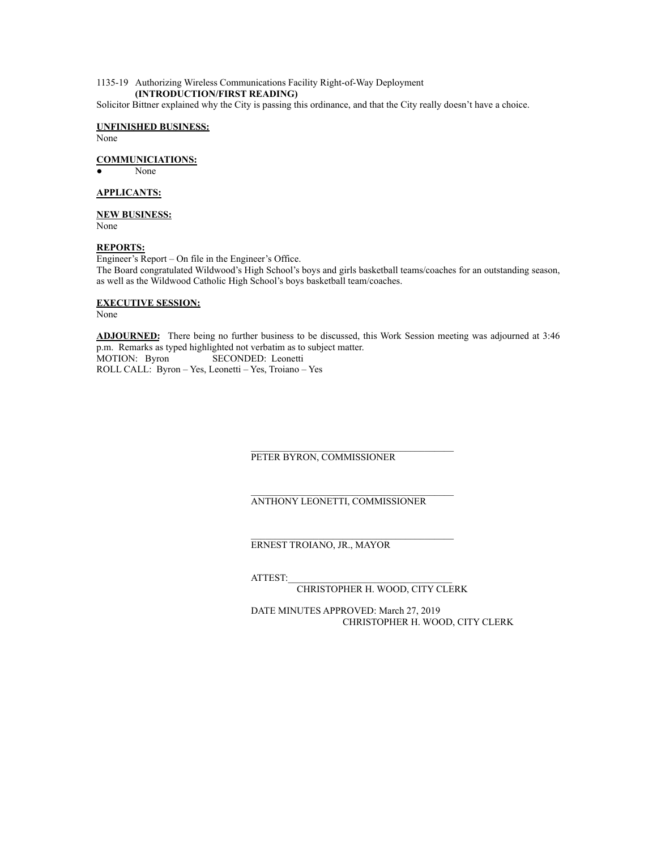### 1135-19 Authorizing Wireless Communications Facility Right-of-Way Deployment **(INTRODUCTION/FIRST READING)**

Solicitor Bittner explained why the City is passing this ordinance, and that the City really doesn't have a choice.

#### **UNFINISHED BUSINESS:** None

**COMMUNICIATIONS:**

None

### **APPLICANTS:**

## **NEW BUSINESS:**

None

### **REPORTS:**

Engineer's Report – On file in the Engineer's Office. The Board congratulated Wildwood's High School's boys and girls basketball teams/coaches for an outstanding season, as well as the Wildwood Catholic High School's boys basketball team/coaches.

#### **EXECUTIVE SESSION:**

None

**ADJOURNED:** There being no further business to be discussed, this Work Session meeting was adjourned at 3:46 p.m. Remarks as typed highlighted not verbatim as to subject matter. MOTION: Byron SECONDED: Leonetti ROLL CALL: Byron – Yes, Leonetti – Yes, Troiano – Yes

#### $\mathcal{L}_\text{max}$ PETER BYRON, COMMISSIONER

### ANTHONY LEONETTI, COMMISSIONER

 $\mathcal{L}_\text{max}$ 

ERNEST TROIANO, JR., MAYOR

ATTEST:\_\_\_\_\_\_\_\_\_\_\_\_\_\_\_\_\_\_\_\_\_\_\_\_\_\_\_\_\_\_\_\_\_\_

CHRISTOPHER H. WOOD, CITY CLERK

DATE MINUTES APPROVED: March 27, 2019 CHRISTOPHER H. WOOD, CITY CLERK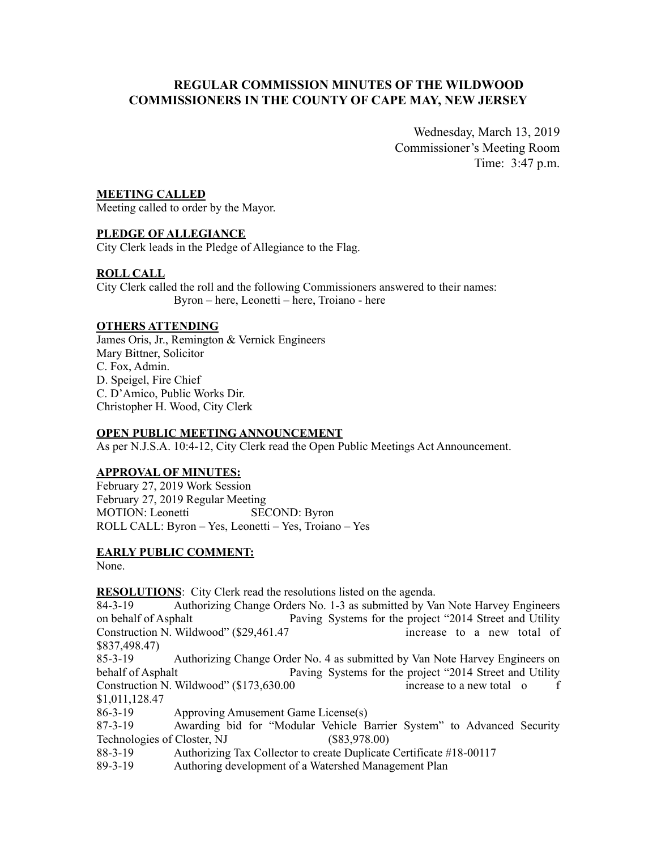# **REGULAR COMMISSION MINUTES OF THE WILDWOOD COMMISSIONERS IN THE COUNTY OF CAPE MAY, NEW JERSEY**

Wednesday, March 13, 2019 Commissioner's Meeting Room Time: 3:47 p.m.

## **MEETING CALLED**

Meeting called to order by the Mayor.

## **PLEDGE OF ALLEGIANCE**

City Clerk leads in the Pledge of Allegiance to the Flag.

## **ROLL CALL**

City Clerk called the roll and the following Commissioners answered to their names: Byron – here, Leonetti – here, Troiano - here

### **OTHERS ATTENDING**

James Oris, Jr., Remington & Vernick Engineers Mary Bittner, Solicitor C. Fox, Admin. D. Speigel, Fire Chief C. D'Amico, Public Works Dir. Christopher H. Wood, City Clerk

## **OPEN PUBLIC MEETING ANNOUNCEMENT**

As per N.J.S.A. 10:4-12, City Clerk read the Open Public Meetings Act Announcement.

## **APPROVAL OF MINUTES:**

February 27, 2019 Work Session February 27, 2019 Regular Meeting MOTION: Leonetti SECOND: Byron ROLL CALL: Byron – Yes, Leonetti – Yes, Troiano – Yes

## **EARLY PUBLIC COMMENT:**

None.

## **RESOLUTIONS**: City Clerk read the resolutions listed on the agenda.

84-3-19 Authorizing Change Orders No. 1-3 as submitted by Van Note Harvey Engineers on behalf of Asphalt Paving Systems for the project "2014 Street and Utility Construction N. Wildwood" (\$29,461.47 increase to a new total of \$837,498.47)

85-3-19 Authorizing Change Order No. 4 as submitted by Van Note Harvey Engineers on behalf of Asphalt Paving Systems for the project "2014 Street and Utility Construction N. Wildwood" (\$173,630.00 increase to a new total o f \$1,011,128.47

86-3-19 Approving Amusement Game License(s)

87-3-19 Awarding bid for "Modular Vehicle Barrier System" to Advanced Security Technologies of Closter, NJ (\$83,978.00)

88-3-19 Authorizing Tax Collector to create Duplicate Certificate #18-00117

89-3-19 Authoring development of a Watershed Management Plan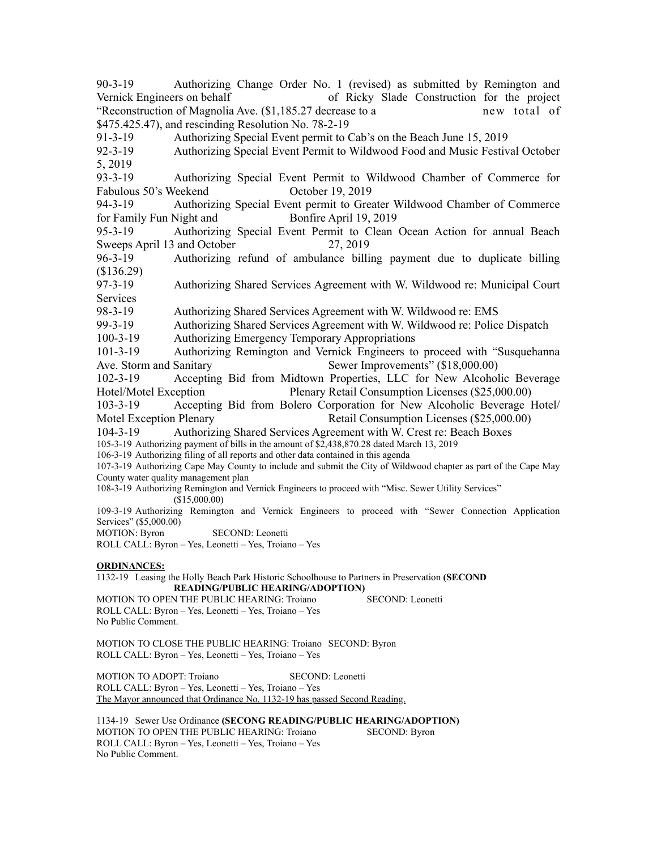90-3-19 Authorizing Change Order No. 1 (revised) as submitted by Remington and Vernick Engineers on behalf of Ricky Slade Construction for the project "Reconstruction of Magnolia Ave. (\$1,185.27 decrease to a new total of \$475.425.47), and rescinding Resolution No. 78-2-19

91-3-19 Authorizing Special Event permit to Cab's on the Beach June 15, 2019

92-3-19 Authorizing Special Event Permit to Wildwood Food and Music Festival October 5, 2019

93-3-19 Authorizing Special Event Permit to Wildwood Chamber of Commerce for Fabulous 50's Weekend October 19, 2019

94-3-19 Authorizing Special Event permit to Greater Wildwood Chamber of Commerce for Family Fun Night and Bonfire April 19, 2019

95-3-19 Authorizing Special Event Permit to Clean Ocean Action for annual Beach Sweeps April 13 and October 27, 2019

96-3-19 Authorizing refund of ambulance billing payment due to duplicate billing (\$136.29)

97-3-19 Authorizing Shared Services Agreement with W. Wildwood re: Municipal Court **Services** 

98-3-19 Authorizing Shared Services Agreement with W. Wildwood re: EMS

99-3-19 Authorizing Shared Services Agreement with W. Wildwood re: Police Dispatch

100-3-19 Authorizing Emergency Temporary Appropriations

101-3-19 Authorizing Remington and Vernick Engineers to proceed with "Susquehanna Ave. Storm and Sanitary Sewer Improvements" (\$18,000.00)

102-3-19 Accepting Bid from Midtown Properties, LLC for New Alcoholic Beverage Hotel/Motel Exception Plenary Retail Consumption Licenses (\$25,000.00)

103-3-19 Accepting Bid from Bolero Corporation for New Alcoholic Beverage Hotel/ Motel Exception Plenary Retail Consumption Licenses (\$25,000.00)

104-3-19 Authorizing Shared Services Agreement with W. Crest re: Beach Boxes

105-3-19 Authorizing payment of bills in the amount of \$2,438,870.28 dated March 13, 2019

106-3-19 Authorizing filing of all reports and other data contained in this agenda

107-3-19 Authorizing Cape May County to include and submit the City of Wildwood chapter as part of the Cape May County water quality management plan

108-3-19 Authorizing Remington and Vernick Engineers to proceed with "Misc. Sewer Utility Services" (\$15,000.00)

109-3-19 Authorizing Remington and Vernick Engineers to proceed with "Sewer Connection Application Services" (\$5,000.00)

MOTION: Byron SECOND: Leonetti

ROLL CALL: Byron – Yes, Leonetti – Yes, Troiano – Yes

### **ORDINANCES:**

1132-19 Leasing the Holly Beach Park Historic Schoolhouse to Partners in Preservation **(SECOND READING/PUBLIC HEARING/ADOPTION)**

MOTION TO OPEN THE PUBLIC HEARING: Troiano SECOND: Leonetti ROLL CALL: Byron – Yes, Leonetti – Yes, Troiano – Yes No Public Comment.

MOTION TO CLOSE THE PUBLIC HEARING: Troiano SECOND: Byron ROLL CALL: Byron – Yes, Leonetti – Yes, Troiano – Yes

MOTION TO ADOPT: Troiano SECOND: Leonetti ROLL CALL: Byron – Yes, Leonetti – Yes, Troiano – Yes The Mayor announced that Ordinance No. 1132-19 has passed Second Reading.

1134-19 Sewer Use Ordinance **(SECONG READING/PUBLIC HEARING/ADOPTION)** MOTION TO OPEN THE PUBLIC HEARING: Troiano ROLL CALL: Byron – Yes, Leonetti – Yes, Troiano – Yes No Public Comment.